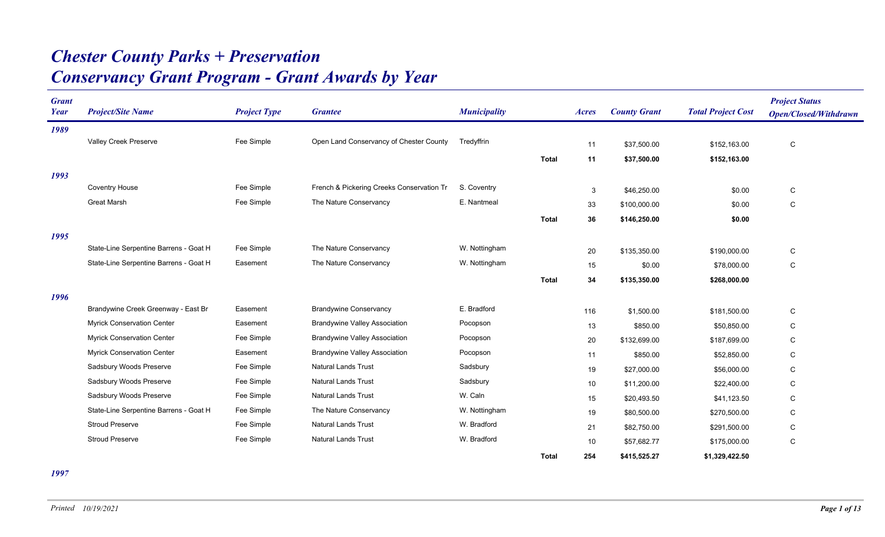## *Conservancy Grant Program - Grant Awards by Year Chester County Parks + Preservation*

| <b>Grant</b><br>Year | <b>Project/Site Name</b>               | <b>Project Type</b> | <b>Grantee</b>                            | <b>Municipality</b> |              | Acres | <b>County Grant</b> | <b>Total Project Cost</b> | <b>Project Status</b><br><b>Open/Closed/Withdrawn</b> |
|----------------------|----------------------------------------|---------------------|-------------------------------------------|---------------------|--------------|-------|---------------------|---------------------------|-------------------------------------------------------|
| 1989                 |                                        |                     |                                           |                     |              |       |                     |                           |                                                       |
|                      | Valley Creek Preserve                  | Fee Simple          | Open Land Conservancy of Chester County   | Tredyffrin          |              | 11    | \$37,500.00         | \$152,163.00              | $\mathsf C$                                           |
|                      |                                        |                     |                                           |                     | <b>Total</b> | 11    | \$37,500.00         | \$152,163.00              |                                                       |
| 1993                 |                                        |                     |                                           |                     |              |       |                     |                           |                                                       |
|                      | <b>Coventry House</b>                  | Fee Simple          | French & Pickering Creeks Conservation Tr | S. Coventry         |              | 3     | \$46,250.00         | \$0.00                    | C                                                     |
|                      | <b>Great Marsh</b>                     | Fee Simple          | The Nature Conservancy                    | E. Nantmeal         |              | 33    | \$100,000.00        | \$0.00                    | С                                                     |
|                      |                                        |                     |                                           |                     | <b>Total</b> | 36    | \$146,250.00        | \$0.00                    |                                                       |
| 1995                 |                                        |                     |                                           |                     |              |       |                     |                           |                                                       |
|                      | State-Line Serpentine Barrens - Goat H | Fee Simple          | The Nature Conservancy                    | W. Nottingham       |              | 20    | \$135,350.00        | \$190,000.00              | ${\bf C}$                                             |
|                      | State-Line Serpentine Barrens - Goat H | Easement            | The Nature Conservancy                    | W. Nottingham       |              | 15    | \$0.00              | \$78,000.00               | C                                                     |
|                      |                                        |                     |                                           |                     | <b>Total</b> | 34    | \$135,350.00        | \$268,000.00              |                                                       |
| 1996                 |                                        |                     |                                           |                     |              |       |                     |                           |                                                       |
|                      | Brandywine Creek Greenway - East Br    | Easement            | <b>Brandywine Conservancy</b>             | E. Bradford         |              | 116   | \$1.500.00          | \$181,500.00              | C                                                     |
|                      | <b>Myrick Conservation Center</b>      | Easement            | <b>Brandywine Valley Association</b>      | Pocopson            |              | 13    | \$850.00            | \$50,850.00               | C                                                     |
|                      | <b>Myrick Conservation Center</b>      | Fee Simple          | <b>Brandywine Valley Association</b>      | Pocopson            |              | 20    | \$132,699.00        | \$187,699.00              | C                                                     |
|                      | <b>Myrick Conservation Center</b>      | Easement            | <b>Brandywine Valley Association</b>      | Pocopson            |              | 11    | \$850.00            | \$52,850.00               | C                                                     |
|                      | Sadsbury Woods Preserve                | Fee Simple          | <b>Natural Lands Trust</b>                | Sadsbury            |              | 19    | \$27.000.00         | \$56,000.00               | C                                                     |
|                      | Sadsbury Woods Preserve                | Fee Simple          | <b>Natural Lands Trust</b>                | Sadsbury            |              | 10    | \$11,200.00         | \$22,400.00               | С                                                     |
|                      | Sadsbury Woods Preserve                | Fee Simple          | <b>Natural Lands Trust</b>                | W. Caln             |              | 15    | \$20,493.50         | \$41,123.50               | C                                                     |
|                      | State-Line Serpentine Barrens - Goat H | Fee Simple          | The Nature Conservancy                    | W. Nottingham       |              | 19    | \$80,500.00         | \$270,500.00              | C                                                     |
|                      | <b>Stroud Preserve</b>                 | Fee Simple          | <b>Natural Lands Trust</b>                | W. Bradford         |              | 21    | \$82,750.00         | \$291,500.00              | C                                                     |
|                      | <b>Stroud Preserve</b>                 | Fee Simple          | <b>Natural Lands Trust</b>                | W. Bradford         |              | 10    | \$57,682.77         | \$175,000.00              | С                                                     |
|                      |                                        |                     |                                           |                     | <b>Total</b> | 254   | \$415,525.27        | \$1,329,422.50            |                                                       |

*1997*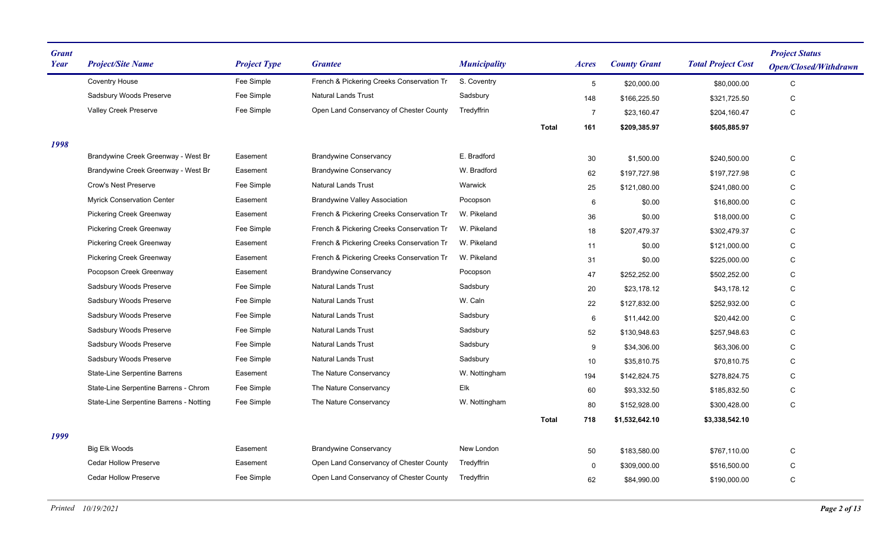| <b>Grant</b><br>Year | <b>Project/Site Name</b>                | <b>Project Type</b> | <b>Grantee</b>                            | <b>Municipality</b> |              | <b>Acres</b>    | <b>County Grant</b> | <b>Total Project Cost</b> | <b>Project Status</b><br><b>Open/Closed/Withdrawn</b> |
|----------------------|-----------------------------------------|---------------------|-------------------------------------------|---------------------|--------------|-----------------|---------------------|---------------------------|-------------------------------------------------------|
|                      | <b>Coventry House</b>                   | Fee Simple          | French & Pickering Creeks Conservation Tr | S. Coventry         |              | $5\phantom{.0}$ | \$20,000.00         | \$80,000.00               | $\mathsf C$                                           |
|                      | Sadsbury Woods Preserve                 | Fee Simple          | <b>Natural Lands Trust</b>                | Sadsbury            |              | 148             | \$166,225.50        | \$321,725.50              | C                                                     |
|                      | Valley Creek Preserve                   | Fee Simple          | Open Land Conservancy of Chester County   | Tredyffrin          |              | $\overline{7}$  | \$23,160.47         | \$204,160.47              | ${\bf C}$                                             |
|                      |                                         |                     |                                           |                     | <b>Total</b> | 161             | \$209,385.97        | \$605,885.97              |                                                       |
| 1998                 |                                         |                     |                                           |                     |              |                 |                     |                           |                                                       |
|                      | Brandywine Creek Greenway - West Br     | Easement            | <b>Brandywine Conservancy</b>             | E. Bradford         |              | 30              | \$1,500.00          | \$240,500.00              | C                                                     |
|                      | Brandywine Creek Greenway - West Br     | Easement            | <b>Brandywine Conservancy</b>             | W. Bradford         |              | 62              | \$197,727.98        | \$197,727.98              | C                                                     |
|                      | Crow's Nest Preserve                    | Fee Simple          | <b>Natural Lands Trust</b>                | Warwick             |              | 25              | \$121,080.00        | \$241,080.00              | C                                                     |
|                      | <b>Myrick Conservation Center</b>       | Easement            | <b>Brandywine Valley Association</b>      | Pocopson            |              | 6               | \$0.00              | \$16,800.00               | C                                                     |
|                      | <b>Pickering Creek Greenway</b>         | Easement            | French & Pickering Creeks Conservation Tr | W. Pikeland         |              | 36              | \$0.00              | \$18,000.00               | C                                                     |
|                      | Pickering Creek Greenway                | Fee Simple          | French & Pickering Creeks Conservation Tr | W. Pikeland         |              | 18              | \$207,479.37        | \$302,479.37              | ${\bf C}$                                             |
|                      | <b>Pickering Creek Greenway</b>         | Easement            | French & Pickering Creeks Conservation Tr | W. Pikeland         |              | 11              | \$0.00              | \$121,000.00              | C                                                     |
|                      | Pickering Creek Greenway                | Easement            | French & Pickering Creeks Conservation Tr | W. Pikeland         |              | 31              | \$0.00              | \$225,000.00              | C                                                     |
|                      | Pocopson Creek Greenway                 | Easement            | <b>Brandywine Conservancy</b>             | Pocopson            |              | 47              | \$252,252.00        | \$502,252.00              | C                                                     |
|                      | Sadsbury Woods Preserve                 | Fee Simple          | <b>Natural Lands Trust</b>                | Sadsbury            |              | 20              | \$23,178.12         | \$43,178.12               | C                                                     |
|                      | Sadsbury Woods Preserve                 | Fee Simple          | <b>Natural Lands Trust</b>                | W. Caln             |              | 22              | \$127,832.00        | \$252,932.00              | C                                                     |
|                      | Sadsbury Woods Preserve                 | Fee Simple          | <b>Natural Lands Trust</b>                | Sadsbury            |              | $6\phantom{1}6$ | \$11,442.00         | \$20,442.00               | C                                                     |
|                      | Sadsbury Woods Preserve                 | Fee Simple          | <b>Natural Lands Trust</b>                | Sadsbury            |              | 52              | \$130,948.63        | \$257,948.63              | C                                                     |
|                      | Sadsbury Woods Preserve                 | Fee Simple          | <b>Natural Lands Trust</b>                | Sadsbury            |              | 9               | \$34,306.00         | \$63,306.00               | C                                                     |
|                      | Sadsbury Woods Preserve                 | Fee Simple          | Natural Lands Trust                       | Sadsbury            |              | 10              | \$35,810.75         | \$70,810.75               | C                                                     |
|                      | State-Line Serpentine Barrens           | Easement            | The Nature Conservancy                    | W. Nottingham       |              | 194             | \$142,824.75        | \$278,824.75              | ${\rm C}$                                             |
|                      | State-Line Serpentine Barrens - Chrom   | Fee Simple          | The Nature Conservancy                    | Elk                 |              | 60              | \$93,332.50         | \$185,832.50              | C                                                     |
|                      | State-Line Serpentine Barrens - Notting | Fee Simple          | The Nature Conservancy                    | W. Nottingham       |              | 80              | \$152,928.00        | \$300,428.00              | C                                                     |
|                      |                                         |                     |                                           |                     | <b>Total</b> | 718             | \$1,532,642.10      | \$3,338,542.10            |                                                       |
| 1999                 |                                         |                     |                                           |                     |              |                 |                     |                           |                                                       |
|                      | Big Elk Woods                           | Easement            | <b>Brandywine Conservancy</b>             | New London          |              | 50              | \$183,580.00        | \$767,110.00              | C                                                     |
|                      | <b>Cedar Hollow Preserve</b>            | Easement            | Open Land Conservancy of Chester County   | Tredyffrin          |              | 0               | \$309,000.00        | \$516,500.00              | C                                                     |
|                      | <b>Cedar Hollow Preserve</b>            | Fee Simple          | Open Land Conservancy of Chester County   | Tredyffrin          |              | 62              | \$84,990.00         | \$190,000.00              | C                                                     |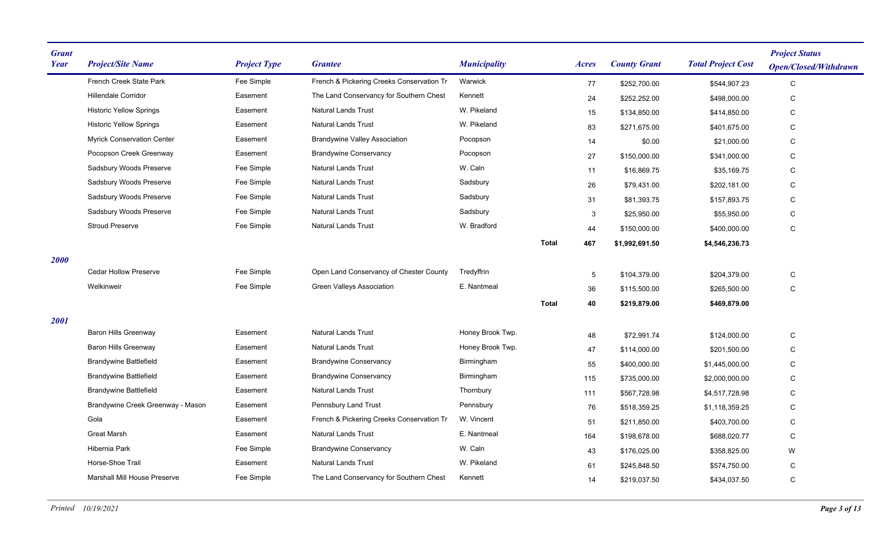| French Creek State Park<br>Fee Simple<br>French & Pickering Creeks Conservation Tr<br>Warwick<br>77<br>\$252,700.00<br>\$544,907.23<br>C<br><b>Hillendale Corridor</b><br>Easement<br>The Land Conservancy for Southern Chest<br>Kennett<br>C<br>24<br>\$252,252.00<br>\$498,000.00<br>W. Pikeland<br><b>Historic Yellow Springs</b><br>Easement<br><b>Natural Lands Trust</b><br>C<br>15<br>\$134,850.00<br>\$414,850.00 |  |
|---------------------------------------------------------------------------------------------------------------------------------------------------------------------------------------------------------------------------------------------------------------------------------------------------------------------------------------------------------------------------------------------------------------------------|--|
|                                                                                                                                                                                                                                                                                                                                                                                                                           |  |
|                                                                                                                                                                                                                                                                                                                                                                                                                           |  |
|                                                                                                                                                                                                                                                                                                                                                                                                                           |  |
| W. Pikeland<br><b>Historic Yellow Springs</b><br>Easement<br><b>Natural Lands Trust</b><br>83<br>\$271,675.00<br>\$401,675.00<br>С                                                                                                                                                                                                                                                                                        |  |
| <b>Myrick Conservation Center</b><br><b>Brandywine Valley Association</b><br>Easement<br>Pocopson<br>14<br>C<br>\$0.00<br>\$21,000.00                                                                                                                                                                                                                                                                                     |  |
| Pocopson Creek Greenway<br>Easement<br><b>Brandywine Conservancy</b><br>Pocopson<br>27<br>\$150,000.00<br>C<br>\$341,000.00                                                                                                                                                                                                                                                                                               |  |
| Sadsbury Woods Preserve<br>Fee Simple<br><b>Natural Lands Trust</b><br>W. Caln<br>C<br>11<br>\$16,869.75<br>\$35,169.75                                                                                                                                                                                                                                                                                                   |  |
| Sadsbury Woods Preserve<br>Fee Simple<br><b>Natural Lands Trust</b><br>Sadsbury<br>26<br>C<br>\$79,431.00<br>\$202,181.00                                                                                                                                                                                                                                                                                                 |  |
| Sadsbury Woods Preserve<br>Fee Simple<br><b>Natural Lands Trust</b><br>Sadsbury<br>31<br>\$81,393.75<br>С<br>\$157,893.75                                                                                                                                                                                                                                                                                                 |  |
| Sadsbury Woods Preserve<br>Fee Simple<br><b>Natural Lands Trust</b><br>Sadsbury<br>$\mathbf{3}$<br>\$25,950.00<br>\$55,950.00<br>С                                                                                                                                                                                                                                                                                        |  |
| <b>Stroud Preserve</b><br>Fee Simple<br>Natural Lands Trust<br>W. Bradford<br>44<br>C<br>\$150,000.00<br>\$400,000.00                                                                                                                                                                                                                                                                                                     |  |
| 467<br><b>Total</b><br>\$1,992,691.50<br>\$4,546,236.73                                                                                                                                                                                                                                                                                                                                                                   |  |
| 2000                                                                                                                                                                                                                                                                                                                                                                                                                      |  |
| <b>Cedar Hollow Preserve</b><br>Fee Simple<br>Open Land Conservancy of Chester County<br>Tredyffrin<br>\$104,379.00<br>С<br>5<br>\$204,379.00                                                                                                                                                                                                                                                                             |  |
| E. Nantmeal<br>Welkinweir<br>Fee Simple<br><b>Green Valleys Association</b><br>36<br>\$265,500.00<br>C<br>\$115,500.00                                                                                                                                                                                                                                                                                                    |  |
| Total<br>40<br>\$219,879.00<br>\$469,879.00                                                                                                                                                                                                                                                                                                                                                                               |  |
| 2001                                                                                                                                                                                                                                                                                                                                                                                                                      |  |
| <b>Baron Hills Greenway</b><br><b>Natural Lands Trust</b><br>Honey Brook Twp.<br>Easement<br>48<br>\$72,991.74<br>\$124,000.00<br>C                                                                                                                                                                                                                                                                                       |  |
| <b>Baron Hills Greenway</b><br>Easement<br><b>Natural Lands Trust</b><br>Honey Brook Twp.<br>47<br>\$114,000.00<br>\$201,500.00<br>С                                                                                                                                                                                                                                                                                      |  |
| <b>Brandywine Battlefield</b><br><b>Brandywine Conservancy</b><br>Easement<br>Birmingham<br>55<br>С<br>\$400,000.00<br>\$1,445,000.00                                                                                                                                                                                                                                                                                     |  |
| <b>Brandywine Battlefield</b><br><b>Brandywine Conservancy</b><br>Easement<br>Birmingham<br>C<br>115<br>\$735,000.00<br>\$2,000,000.00                                                                                                                                                                                                                                                                                    |  |
| <b>Brandywine Battlefield</b><br>Easement<br><b>Natural Lands Trust</b><br>Thornbury<br>C<br>111<br>\$567,728.98<br>\$4,517,728.98                                                                                                                                                                                                                                                                                        |  |
| Brandywine Creek Greenway - Mason<br>Easement<br><b>Pennsbury Land Trust</b><br>Pennsbury<br>С<br>76<br>\$518,359.25<br>\$1,118,359.25                                                                                                                                                                                                                                                                                    |  |
| W. Vincent<br>Gola<br>Easement<br>French & Pickering Creeks Conservation Tr<br>51<br>C<br>\$211,850.00<br>\$403,700.00                                                                                                                                                                                                                                                                                                    |  |
| <b>Great Marsh</b><br>E. Nantmeal<br>Easement<br><b>Natural Lands Trust</b><br>164<br>\$198,678.00<br>\$688,020.77<br>С                                                                                                                                                                                                                                                                                                   |  |
| Hibernia Park<br>Fee Simple<br>W. Caln<br><b>Brandywine Conservancy</b><br>43<br>\$176,025.00<br>\$358,825.00<br>W                                                                                                                                                                                                                                                                                                        |  |
| Horse-Shoe Trail<br>W. Pikeland<br><b>Natural Lands Trust</b><br>Easement<br>С<br>61<br>\$245,848.50<br>\$574,750.00                                                                                                                                                                                                                                                                                                      |  |
| <b>Marshall Mill House Preserve</b><br>Fee Simple<br>The Land Conservancy for Southern Chest<br>Kennett<br>C<br>14<br>\$219,037.50<br>\$434,037.50                                                                                                                                                                                                                                                                        |  |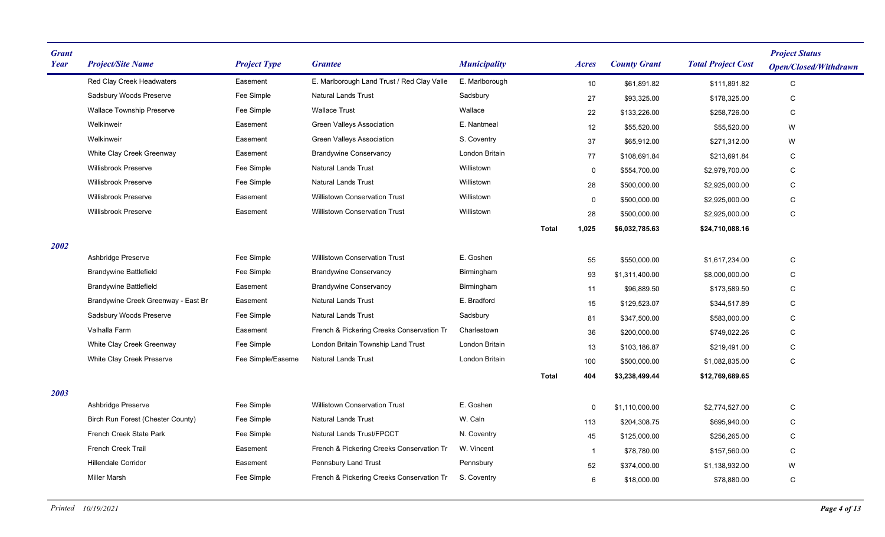| <b>Grant</b><br>Year | <b>Project/Site Name</b>            | <b>Project Type</b> | <b>Grantee</b>                             | <b>Municipality</b> |              | Acres        | <b>County Grant</b> | <b>Total Project Cost</b> | <b>Project Status</b><br><b>Open/Closed/Withdrawn</b> |
|----------------------|-------------------------------------|---------------------|--------------------------------------------|---------------------|--------------|--------------|---------------------|---------------------------|-------------------------------------------------------|
|                      | Red Clay Creek Headwaters           | Easement            | E. Marlborough Land Trust / Red Clay Valle | E. Marlborough      |              | 10           | \$61,891.82         | \$111,891.82              | C                                                     |
|                      | Sadsbury Woods Preserve             | Fee Simple          | <b>Natural Lands Trust</b>                 | Sadsbury            |              | 27           | \$93,325.00         | \$178,325.00              | $\mathsf C$                                           |
|                      | <b>Wallace Township Preserve</b>    | Fee Simple          | <b>Wallace Trust</b>                       | Wallace             |              | 22           | \$133,226.00        | \$258,726.00              | C                                                     |
|                      | Welkinweir                          | Easement            | Green Valleys Association                  | E. Nantmeal         |              | 12           | \$55,520.00         | \$55,520.00               | W                                                     |
|                      | Welkinweir                          | Easement            | <b>Green Valleys Association</b>           | S. Coventry         |              | 37           | \$65,912.00         | \$271,312.00              | W                                                     |
|                      | White Clay Creek Greenway           | Easement            | <b>Brandywine Conservancy</b>              | London Britain      |              | 77           | \$108,691.84        | \$213,691.84              | С                                                     |
|                      | Willisbrook Preserve                | Fee Simple          | <b>Natural Lands Trust</b>                 | Willistown          |              | 0            | \$554,700.00        | \$2,979,700.00            | С                                                     |
|                      | <b>Willisbrook Preserve</b>         | Fee Simple          | <b>Natural Lands Trust</b>                 | Willistown          |              | 28           | \$500,000.00        | \$2,925,000.00            | C                                                     |
|                      | <b>Willisbrook Preserve</b>         | Easement            | <b>Willistown Conservation Trust</b>       | Willistown          |              | 0            | \$500,000.00        | \$2,925,000.00            | С                                                     |
|                      | <b>Willisbrook Preserve</b>         | Easement            | <b>Willistown Conservation Trust</b>       | Willistown          |              | 28           | \$500,000.00        | \$2,925,000.00            | $\mathbf C$                                           |
|                      |                                     |                     |                                            |                     | <b>Total</b> | 1,025        | \$6,032,785.63      | \$24,710,088.16           |                                                       |
| 2002                 |                                     |                     |                                            |                     |              |              |                     |                           |                                                       |
|                      | Ashbridge Preserve                  | Fee Simple          | <b>Willistown Conservation Trust</b>       | E. Goshen           |              | 55           | \$550,000.00        | \$1,617,234.00            | $\mathsf C$                                           |
|                      | <b>Brandywine Battlefield</b>       | Fee Simple          | <b>Brandywine Conservancy</b>              | Birmingham          |              | 93           | \$1,311,400.00      | \$8,000,000.00            | С                                                     |
|                      | <b>Brandywine Battlefield</b>       | Easement            | <b>Brandywine Conservancy</b>              | Birmingham          |              | 11           | \$96,889.50         | \$173,589.50              | C                                                     |
|                      | Brandywine Creek Greenway - East Br | Easement            | <b>Natural Lands Trust</b>                 | E. Bradford         |              | 15           | \$129,523.07        | \$344,517.89              | $\mathsf C$                                           |
|                      | Sadsbury Woods Preserve             | Fee Simple          | <b>Natural Lands Trust</b>                 | Sadsbury            |              | 81           | \$347,500.00        | \$583,000.00              | C                                                     |
|                      | Valhalla Farm                       | Easement            | French & Pickering Creeks Conservation Tr  | Charlestown         |              | 36           | \$200,000.00        | \$749,022.26              | С                                                     |
|                      | White Clay Creek Greenway           | Fee Simple          | London Britain Township Land Trust         | London Britain      |              | 13           | \$103,186.87        | \$219,491.00              | С                                                     |
|                      | White Clay Creek Preserve           | Fee Simple/Easeme   | <b>Natural Lands Trust</b>                 | London Britain      |              | 100          | \$500,000.00        | \$1.082.835.00            | $\mathsf C$                                           |
|                      |                                     |                     |                                            |                     | <b>Total</b> | 404          | \$3,238,499.44      | \$12,769,689.65           |                                                       |
| 2003                 |                                     |                     |                                            |                     |              |              |                     |                           |                                                       |
|                      | Ashbridge Preserve                  | Fee Simple          | <b>Willistown Conservation Trust</b>       | E. Goshen           |              | 0            | \$1,110,000.00      | \$2,774,527.00            | С                                                     |
|                      | Birch Run Forest (Chester County)   | Fee Simple          | <b>Natural Lands Trust</b>                 | W. Caln             |              | 113          | \$204,308.75        | \$695,940.00              | С                                                     |
|                      | French Creek State Park             | Fee Simple          | Natural Lands Trust/FPCCT                  | N. Coventry         |              | 45           | \$125,000.00        | \$256,265.00              | С                                                     |
|                      | <b>French Creek Trail</b>           | Easement            | French & Pickering Creeks Conservation Tr  | W. Vincent          |              | $\mathbf{1}$ | \$78,780.00         | \$157,560.00              | C                                                     |
|                      | Hillendale Corridor                 | Easement            | Pennsbury Land Trust                       | Pennsbury           |              | 52           | \$374,000.00        | \$1,138,932.00            | W                                                     |
|                      | <b>Miller Marsh</b>                 | Fee Simple          | French & Pickering Creeks Conservation Tr  | S. Coventry         |              | 6            | \$18,000.00         | \$78,880.00               | C                                                     |
|                      |                                     |                     |                                            |                     |              |              |                     |                           |                                                       |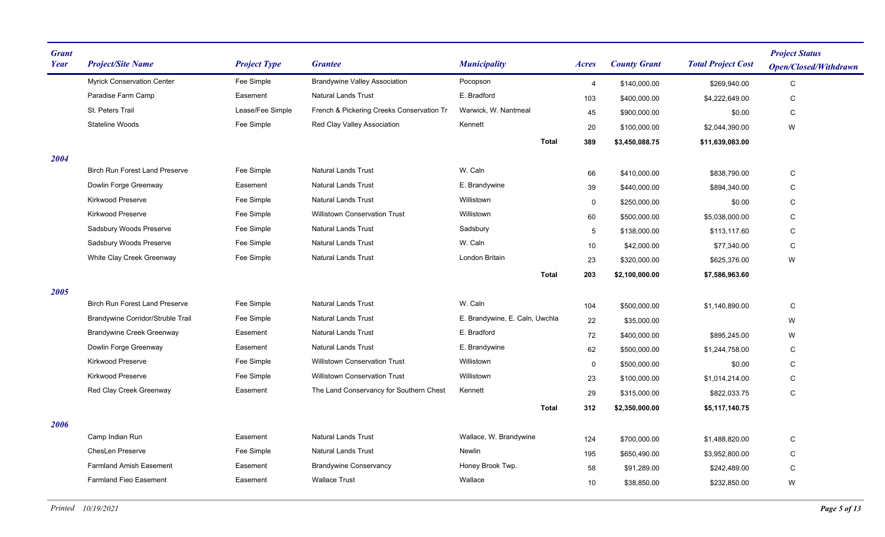| <b>Grant</b><br><b>Year</b> | <b>Project/Site Name</b>              | <b>Project Type</b> | <b>Grantee</b>                            | <b>Municipality</b>            | <i>Acres</i>   | <b>County Grant</b> | <b>Total Project Cost</b> | <b>Project Status</b><br><b>Open/Closed/Withdrawn</b> |
|-----------------------------|---------------------------------------|---------------------|-------------------------------------------|--------------------------------|----------------|---------------------|---------------------------|-------------------------------------------------------|
|                             | <b>Myrick Conservation Center</b>     | Fee Simple          | <b>Brandywine Valley Association</b>      | Pocopson                       | $\overline{4}$ | \$140,000.00        | \$269,940.00              | $\mathbf C$                                           |
|                             | Paradise Farm Camp                    | Easement            | <b>Natural Lands Trust</b>                | E. Bradford                    | 103            | \$400,000.00        | \$4,222,649.00            | $\mathsf C$                                           |
|                             | St. Peters Trail                      | Lease/Fee Simple    | French & Pickering Creeks Conservation Tr | Warwick, W. Nantmeal           | 45             | \$900,000.00        | \$0.00                    | C                                                     |
|                             | <b>Stateline Woods</b>                | Fee Simple          | Red Clay Valley Association               | Kennett                        | 20             | \$100,000.00        | \$2,044,390.00            | W                                                     |
|                             |                                       |                     |                                           | <b>Total</b>                   | 389            | \$3,450,088.75      | \$11,639,083.00           |                                                       |
| 2004                        |                                       |                     |                                           |                                |                |                     |                           |                                                       |
|                             | <b>Birch Run Forest Land Preserve</b> | Fee Simple          | <b>Natural Lands Trust</b>                | W. Caln                        | 66             | \$410,000.00        | \$838,790.00              | C                                                     |
|                             | Dowlin Forge Greenway                 | Easement            | <b>Natural Lands Trust</b>                | E. Brandywine                  | 39             | \$440,000.00        | \$894,340.00              | C                                                     |
|                             | Kirkwood Preserve                     | Fee Simple          | <b>Natural Lands Trust</b>                | Willistown                     | $\mathsf{O}$   | \$250,000.00        | \$0.00                    | C                                                     |
|                             | Kirkwood Preserve                     | Fee Simple          | <b>Willistown Conservation Trust</b>      | Willistown                     | 60             | \$500,000.00        | \$5,038,000.00            | $\mathbf C$                                           |
|                             | Sadsbury Woods Preserve               | Fee Simple          | <b>Natural Lands Trust</b>                | Sadsbury                       | 5 <sup>5</sup> | \$138,000.00        | \$113,117.60              | $\mathbf C$                                           |
|                             | Sadsbury Woods Preserve               | Fee Simple          | <b>Natural Lands Trust</b>                | W. Caln                        | 10             | \$42,000.00         | \$77,340.00               | $\mathbf C$                                           |
|                             | White Clay Creek Greenway             | Fee Simple          | <b>Natural Lands Trust</b>                | London Britain                 | 23             | \$320,000.00        | \$625,376.00              | W                                                     |
|                             |                                       |                     |                                           | <b>Total</b>                   | 203            | \$2,100,000.00      | \$7,586,963.60            |                                                       |
| 2005                        |                                       |                     |                                           |                                |                |                     |                           |                                                       |
|                             | <b>Birch Run Forest Land Preserve</b> | Fee Simple          | <b>Natural Lands Trust</b>                | W. Caln                        | 104            | \$500,000.00        | \$1,140,890.00            | $\mathsf C$                                           |
|                             | Brandywine Corridor/Struble Trail     | Fee Simple          | <b>Natural Lands Trust</b>                | E. Brandywine, E. Caln, Uwchla | 22             | \$35,000.00         |                           | W                                                     |
|                             | <b>Brandywine Creek Greenway</b>      | Easement            | <b>Natural Lands Trust</b>                | E. Bradford                    | 72             | \$400,000.00        | \$895.245.00              | W                                                     |
|                             | Dowlin Forge Greenway                 | Easement            | Natural Lands Trust                       | E. Brandywine                  | 62             | \$500,000.00        | \$1,244,758.00            | C                                                     |
|                             | <b>Kirkwood Preserve</b>              | Fee Simple          | <b>Willistown Conservation Trust</b>      | Willistown                     | 0              | \$500,000.00        | \$0.00                    | C                                                     |
|                             | Kirkwood Preserve                     | Fee Simple          | <b>Willistown Conservation Trust</b>      | Willistown                     | 23             | \$100,000.00        | \$1,014,214.00            | $\mathsf C$                                           |
|                             | Red Clay Creek Greenway               | Easement            | The Land Conservancy for Southern Chest   | Kennett                        | 29             | \$315,000.00        | \$822,033.75              | C                                                     |
|                             |                                       |                     |                                           | <b>Total</b>                   | 312            | \$2,350,000.00      | \$5,117,140.75            |                                                       |
| 2006                        |                                       |                     |                                           |                                |                |                     |                           |                                                       |
|                             | Camp Indian Run                       | Easement            | <b>Natural Lands Trust</b>                | Wallace, W. Brandywine         | 124            | \$700,000.00        | \$1,488,820.00            | $\mathsf C$                                           |
|                             | <b>ChesLen Preserve</b>               | Fee Simple          | <b>Natural Lands Trust</b>                | Newlin                         | 195            | \$650,490.00        | \$3,952,800.00            | C                                                     |
|                             | <b>Farmland Amish Easement</b>        | Easement            | <b>Brandywine Conservancy</b>             | Honey Brook Twp.               | 58             | \$91,289.00         | \$242,489.00              | C                                                     |
|                             | <b>Farmland Fieo Easement</b>         | Easement            | <b>Wallace Trust</b>                      | Wallace                        | 10             | \$38,850.00         | \$232,850.00              | W                                                     |
|                             |                                       |                     |                                           |                                |                |                     |                           |                                                       |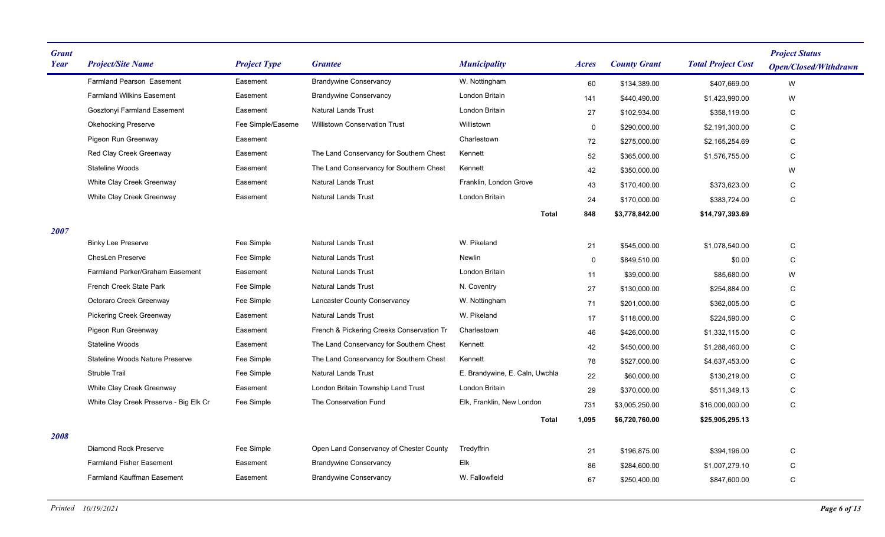| <b>Grant</b><br>Year | <b>Project/Site Name</b>               | <b>Project Type</b> | <b>Grantee</b>                            | <b>Municipality</b>            | <b>Acres</b> | <b>County Grant</b> | <b>Total Project Cost</b> | <b>Project Status</b><br><b>Open/Closed/Withdrawn</b> |
|----------------------|----------------------------------------|---------------------|-------------------------------------------|--------------------------------|--------------|---------------------|---------------------------|-------------------------------------------------------|
|                      | Farmland Pearson Easement              | Easement            | <b>Brandywine Conservancy</b>             | W. Nottingham                  | 60           | \$134,389.00        | \$407,669.00              | W                                                     |
|                      | <b>Farmland Wilkins Easement</b>       | Easement            | <b>Brandywine Conservancy</b>             | London Britain                 | 141          | \$440,490.00        | \$1,423,990.00            | W                                                     |
|                      | Gosztonyi Farmland Easement            | Easement            | <b>Natural Lands Trust</b>                | London Britain                 | 27           | \$102,934.00        | \$358,119.00              | С                                                     |
|                      | <b>Okehocking Preserve</b>             | Fee Simple/Easeme   | <b>Willistown Conservation Trust</b>      | Willistown                     | $\mathbf 0$  | \$290,000.00        | \$2,191,300.00            | C                                                     |
|                      | Pigeon Run Greenway                    | Easement            |                                           | Charlestown                    | 72           | \$275,000.00        | \$2,165,254.69            | C                                                     |
|                      | Red Clay Creek Greenway                | Easement            | The Land Conservancy for Southern Chest   | Kennett                        | 52           | \$365,000.00        | \$1,576,755.00            | C                                                     |
|                      | <b>Stateline Woods</b>                 | Easement            | The Land Conservancy for Southern Chest   | Kennett                        | 42           | \$350,000.00        |                           | W                                                     |
|                      | White Clay Creek Greenway              | Easement            | <b>Natural Lands Trust</b>                | Franklin, London Grove         | 43           | \$170,400.00        | \$373,623.00              | C                                                     |
|                      | White Clay Creek Greenway              | Easement            | <b>Natural Lands Trust</b>                | <b>London Britain</b>          | 24           | \$170,000.00        | \$383,724.00              | C                                                     |
|                      |                                        |                     |                                           | <b>Total</b>                   | 848          | \$3,778,842.00      | \$14,797,393.69           |                                                       |
| 2007                 |                                        |                     |                                           |                                |              |                     |                           |                                                       |
|                      | <b>Binky Lee Preserve</b>              | Fee Simple          | <b>Natural Lands Trust</b>                | W. Pikeland                    | 21           | \$545,000.00        | \$1,078,540.00            | C                                                     |
|                      | <b>ChesLen Preserve</b>                | Fee Simple          | <b>Natural Lands Trust</b>                | Newlin                         | $\mathbf 0$  | \$849,510.00        | \$0.00                    | C                                                     |
|                      | Farmland Parker/Graham Easement        | Easement            | <b>Natural Lands Trust</b>                | London Britain                 | 11           | \$39,000.00         | \$85,680.00               | W                                                     |
|                      | French Creek State Park                | Fee Simple          | <b>Natural Lands Trust</b>                | N. Coventry                    | 27           | \$130,000.00        | \$254,884.00              | $\mathsf{C}$                                          |
|                      | Octoraro Creek Greenway                | Fee Simple          | <b>Lancaster County Conservancy</b>       | W. Nottingham                  | 71           | \$201,000.00        | \$362,005.00              | C                                                     |
|                      | <b>Pickering Creek Greenway</b>        | Easement            | <b>Natural Lands Trust</b>                | W. Pikeland                    | 17           | \$118,000.00        | \$224,590.00              | C                                                     |
|                      | Pigeon Run Greenway                    | Easement            | French & Pickering Creeks Conservation Tr | Charlestown                    | 46           | \$426,000.00        | \$1,332,115.00            | C                                                     |
|                      | <b>Stateline Woods</b>                 | Easement            | The Land Conservancy for Southern Chest   | Kennett                        | 42           | \$450,000.00        | \$1,288,460.00            | C                                                     |
|                      | Stateline Woods Nature Preserve        | Fee Simple          | The Land Conservancy for Southern Chest   | Kennett                        | 78           | \$527,000.00        | \$4,637,453.00            | $\mathsf{C}$                                          |
|                      | <b>Struble Trail</b>                   | Fee Simple          | <b>Natural Lands Trust</b>                | E. Brandywine, E. Caln, Uwchla | 22           | \$60,000.00         | \$130,219.00              | C                                                     |
|                      | White Clay Creek Greenway              | Easement            | London Britain Township Land Trust        | <b>London Britain</b>          | 29           | \$370,000.00        | \$511,349.13              | C                                                     |
|                      | White Clay Creek Preserve - Big Elk Cr | Fee Simple          | The Conservation Fund                     | Elk, Franklin, New London      | 731          | \$3,005,250.00      | \$16,000,000.00           | C                                                     |
|                      |                                        |                     |                                           | <b>Total</b>                   | 1,095        | \$6,720,760.00      | \$25,905,295.13           |                                                       |
| 2008                 |                                        |                     |                                           |                                |              |                     |                           |                                                       |
|                      | <b>Diamond Rock Preserve</b>           | Fee Simple          | Open Land Conservancy of Chester County   | Tredyffrin                     | 21           | \$196,875.00        | \$394,196.00              | C                                                     |
|                      | <b>Farmland Fisher Easement</b>        | Easement            | <b>Brandywine Conservancy</b>             | Elk                            | 86           | \$284,600.00        | \$1,007,279.10            | С                                                     |
|                      | <b>Farmland Kauffman Easement</b>      | Easement            | <b>Brandywine Conservancy</b>             | W. Fallowfield                 | 67           | \$250,400.00        | \$847,600.00              | C                                                     |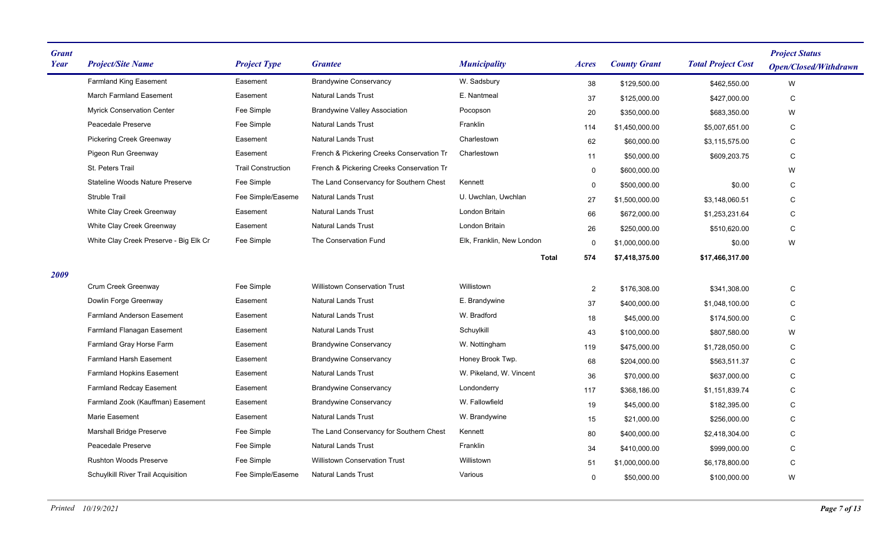| <b>Grant</b><br><b>Year</b> | <b>Project/Site Name</b>               | <b>Project Type</b>       | <b>Grantee</b>                            | <b>Municipality</b>       | Acres          | <b>County Grant</b> | <b>Total Project Cost</b> | <b>Project Status</b><br><b>Open/Closed/Withdrawn</b> |
|-----------------------------|----------------------------------------|---------------------------|-------------------------------------------|---------------------------|----------------|---------------------|---------------------------|-------------------------------------------------------|
|                             | <b>Farmland King Easement</b>          | Easement                  | <b>Brandywine Conservancy</b>             | W. Sadsbury               | 38             | \$129,500.00        | \$462,550.00              | W                                                     |
|                             | <b>March Farmland Easement</b>         | Easement                  | <b>Natural Lands Trust</b>                | E. Nantmeal               | 37             | \$125,000.00        | \$427,000.00              | $\mathsf C$                                           |
|                             | <b>Myrick Conservation Center</b>      | Fee Simple                | <b>Brandywine Valley Association</b>      | Pocopson                  | 20             | \$350,000.00        | \$683,350.00              | W                                                     |
|                             | Peacedale Preserve                     | Fee Simple                | <b>Natural Lands Trust</b>                | Franklin                  | 114            | \$1,450,000.00      | \$5,007,651.00            | C                                                     |
|                             | <b>Pickering Creek Greenway</b>        | Easement                  | <b>Natural Lands Trust</b>                | Charlestown               | 62             | \$60,000.00         | \$3,115,575.00            | C                                                     |
|                             | Pigeon Run Greenway                    | Easement                  | French & Pickering Creeks Conservation Tr | Charlestown               | 11             | \$50,000.00         | \$609,203.75              | $\mathsf C$                                           |
|                             | St. Peters Trail                       | <b>Trail Construction</b> | French & Pickering Creeks Conservation Tr |                           | $\mathbf 0$    | \$600,000.00        |                           | W                                                     |
|                             | <b>Stateline Woods Nature Preserve</b> | Fee Simple                | The Land Conservancy for Southern Chest   | Kennett                   | $\mathbf 0$    | \$500,000.00        | \$0.00                    | C                                                     |
|                             | Struble Trail                          | Fee Simple/Easeme         | <b>Natural Lands Trust</b>                | U. Uwchlan. Uwchlan       | 27             | \$1,500,000.00      | \$3,148,060.51            | C                                                     |
|                             | White Clay Creek Greenway              | Easement                  | <b>Natural Lands Trust</b>                | London Britain            | 66             | \$672,000.00        | \$1,253,231.64            | C                                                     |
|                             | White Clay Creek Greenway              | Easement                  | <b>Natural Lands Trust</b>                | London Britain            | 26             | \$250,000.00        | \$510,620.00              | $\mathsf C$                                           |
|                             | White Clay Creek Preserve - Big Elk Cr | Fee Simple                | The Conservation Fund                     | Elk, Franklin, New London | $\mathbf 0$    | \$1,000,000.00      | \$0.00                    | W                                                     |
|                             |                                        |                           |                                           | <b>Total</b>              | 574            | \$7,418,375.00      | \$17,466,317.00           |                                                       |
| 2009                        |                                        |                           |                                           |                           |                |                     |                           |                                                       |
|                             | Crum Creek Greenway                    | Fee Simple                | <b>Willistown Conservation Trust</b>      | Willistown                | $\overline{2}$ | \$176,308.00        | \$341,308.00              | $\mathsf C$                                           |
|                             | Dowlin Forge Greenway                  | Easement                  | Natural Lands Trust                       | E. Brandywine             | 37             | \$400.000.00        | \$1.048.100.00            | C                                                     |
|                             | <b>Farmland Anderson Easement</b>      | Easement                  | <b>Natural Lands Trust</b>                | W. Bradford               | 18             | \$45,000.00         | \$174,500.00              | C                                                     |
|                             | <b>Farmland Flanagan Easement</b>      | Easement                  | <b>Natural Lands Trust</b>                | Schuylkill                | 43             | \$100.000.00        | \$807,580.00              | W                                                     |
|                             | Farmland Gray Horse Farm               | Easement                  | <b>Brandywine Conservancy</b>             | W. Nottingham             | 119            | \$475,000.00        | \$1,728,050.00            | $\mathsf C$                                           |
|                             | <b>Farmland Harsh Easement</b>         | Easement                  | <b>Brandywine Conservancy</b>             | Honey Brook Twp.          | 68             | \$204,000.00        | \$563,511.37              | C                                                     |
|                             | <b>Farmland Hopkins Easement</b>       | Easement                  | <b>Natural Lands Trust</b>                | W. Pikeland, W. Vincent   | 36             | \$70,000.00         | \$637,000.00              | C                                                     |
|                             | <b>Farmland Redcay Easement</b>        | Easement                  | <b>Brandywine Conservancy</b>             | Londonderry               | 117            | \$368,186.00        | \$1,151,839.74            | C                                                     |
|                             | Farmland Zook (Kauffman) Easement      | Easement                  | <b>Brandywine Conservancy</b>             | W. Fallowfield            | 19             | \$45,000.00         | \$182,395.00              | C                                                     |
|                             | <b>Marie Easement</b>                  | Easement                  | <b>Natural Lands Trust</b>                | W. Brandywine             | 15             | \$21,000.00         | \$256,000.00              | C                                                     |
|                             | <b>Marshall Bridge Preserve</b>        | Fee Simple                | The Land Conservancy for Southern Chest   | Kennett                   | 80             | \$400,000.00        | \$2,418,304.00            | C                                                     |
|                             | Peacedale Preserve                     | Fee Simple                | <b>Natural Lands Trust</b>                | Franklin                  | 34             | \$410,000.00        | \$999,000.00              | C                                                     |
|                             | <b>Rushton Woods Preserve</b>          | Fee Simple                | <b>Willistown Conservation Trust</b>      | Willistown                | 51             | \$1,000,000.00      | \$6,178,800.00            | $\mathsf C$                                           |
|                             | Schuylkill River Trail Acquisition     | Fee Simple/Easeme         | <b>Natural Lands Trust</b>                | Various                   | $\mathbf{0}$   | \$50,000.00         | \$100,000.00              | W                                                     |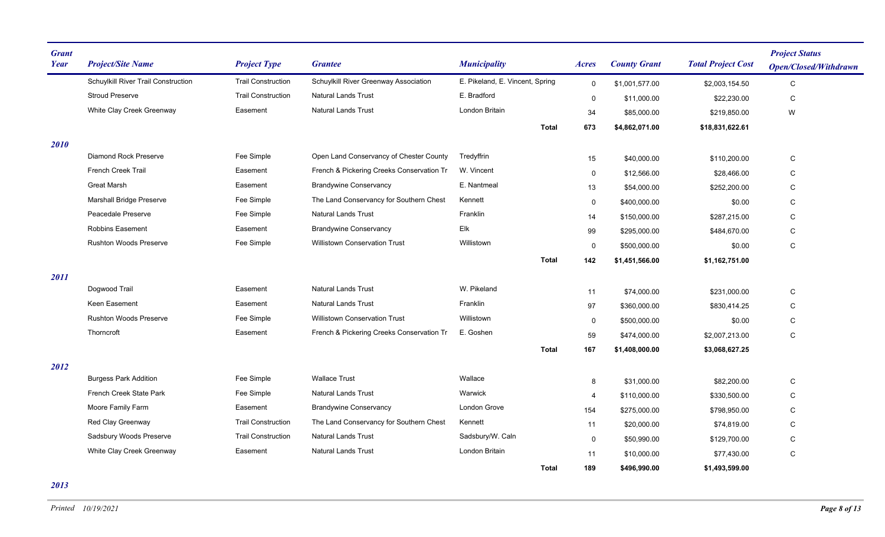| <b>Grant</b><br><b>Year</b> | <b>Project/Site Name</b>            | <b>Project Type</b>       | <b>Grantee</b>                            | <b>Municipality</b>             |              | Acres       | <b>County Grant</b> | <b>Total Project Cost</b> | <b>Project Status</b><br><b>Open/Closed/Withdrawn</b> |
|-----------------------------|-------------------------------------|---------------------------|-------------------------------------------|---------------------------------|--------------|-------------|---------------------|---------------------------|-------------------------------------------------------|
|                             | Schuylkill River Trail Construction | <b>Trail Construction</b> | Schuylkill River Greenway Association     | E. Pikeland, E. Vincent, Spring |              | $\mathbf 0$ | \$1,001,577.00      | \$2,003,154.50            | $\mathbf C$                                           |
|                             | <b>Stroud Preserve</b>              | <b>Trail Construction</b> | <b>Natural Lands Trust</b>                | E. Bradford                     |              | 0           | \$11,000.00         | \$22,230.00               | $\mathsf C$                                           |
|                             | White Clay Creek Greenway           | Easement                  | <b>Natural Lands Trust</b>                | London Britain                  |              | 34          | \$85,000.00         | \$219,850.00              | W                                                     |
|                             |                                     |                           |                                           |                                 | <b>Total</b> | 673         | \$4,862,071.00      | \$18,831,622.61           |                                                       |
| 2010                        |                                     |                           |                                           |                                 |              |             |                     |                           |                                                       |
|                             | <b>Diamond Rock Preserve</b>        | Fee Simple                | Open Land Conservancy of Chester County   | Tredyffrin                      |              | 15          | \$40,000.00         | \$110,200.00              | $\mathsf C$                                           |
|                             | <b>French Creek Trail</b>           | Easement                  | French & Pickering Creeks Conservation Tr | W. Vincent                      |              | 0           | \$12,566.00         | \$28,466.00               | $\mathsf C$                                           |
|                             | <b>Great Marsh</b>                  | Easement                  | <b>Brandywine Conservancy</b>             | E. Nantmeal                     |              | 13          | \$54,000.00         | \$252,200.00              | C                                                     |
|                             | <b>Marshall Bridge Preserve</b>     | Fee Simple                | The Land Conservancy for Southern Chest   | Kennett                         |              | $\mathbf 0$ | \$400,000.00        | \$0.00                    | $\mathsf C$                                           |
|                             | Peacedale Preserve                  | Fee Simple                | <b>Natural Lands Trust</b>                | Franklin                        |              | 14          | \$150,000.00        | \$287,215.00              | C                                                     |
|                             | <b>Robbins Easement</b>             | Easement                  | <b>Brandywine Conservancy</b>             | Elk                             |              | 99          | \$295,000.00        | \$484,670.00              | C                                                     |
|                             | <b>Rushton Woods Preserve</b>       | Fee Simple                | <b>Willistown Conservation Trust</b>      | Willistown                      |              | $\mathbf 0$ | \$500,000.00        | \$0.00                    | C                                                     |
|                             |                                     |                           |                                           |                                 | <b>Total</b> | 142         | \$1,451,566.00      | \$1,162,751.00            |                                                       |
| 2011                        |                                     |                           |                                           |                                 |              |             |                     |                           |                                                       |
|                             | Dogwood Trail                       | Easement                  | <b>Natural Lands Trust</b>                | W. Pikeland                     |              | 11          | \$74,000.00         | \$231,000.00              | C                                                     |
|                             | Keen Easement                       | Easement                  | <b>Natural Lands Trust</b>                | Franklin                        |              | 97          | \$360,000.00        | \$830,414.25              | C                                                     |
|                             | <b>Rushton Woods Preserve</b>       | Fee Simple                | <b>Willistown Conservation Trust</b>      | Willistown                      |              | $\mathbf 0$ | \$500,000.00        | \$0.00                    | $\mathsf C$                                           |
|                             | Thorncroft                          | Easement                  | French & Pickering Creeks Conservation Tr | E. Goshen                       |              | 59          | \$474,000.00        | \$2,007,213.00            | C                                                     |
|                             |                                     |                           |                                           |                                 | <b>Total</b> | 167         | \$1,408,000.00      | \$3,068,627.25            |                                                       |
| 2012                        |                                     |                           |                                           |                                 |              |             |                     |                           |                                                       |
|                             | <b>Burgess Park Addition</b>        | Fee Simple                | <b>Wallace Trust</b>                      | Wallace                         |              | 8           | \$31,000.00         | \$82,200.00               | C                                                     |
|                             | French Creek State Park             | Fee Simple                | <b>Natural Lands Trust</b>                | Warwick                         |              | 4           | \$110,000.00        | \$330,500.00              | C                                                     |
|                             | Moore Family Farm                   | Easement                  | <b>Brandywine Conservancy</b>             | London Grove                    |              | 154         | \$275,000.00        | \$798,950.00              | C                                                     |
|                             | Red Clay Greenway                   | <b>Trail Construction</b> | The Land Conservancy for Southern Chest   | Kennett                         |              | 11          | \$20,000.00         | \$74,819.00               | ${\rm C}$                                             |
|                             | Sadsbury Woods Preserve             | <b>Trail Construction</b> | <b>Natural Lands Trust</b>                | Sadsbury/W. Caln                |              | $\mathbf 0$ | \$50,990.00         | \$129,700.00              | $\mathbf C$                                           |
|                             | White Clay Creek Greenway           | Easement                  | <b>Natural Lands Trust</b>                | London Britain                  |              | 11          | \$10,000.00         | \$77,430.00               | ${\rm C}$                                             |
|                             |                                     |                           |                                           |                                 | <b>Total</b> | 189         | \$496,990.00        | \$1,493,599.00            |                                                       |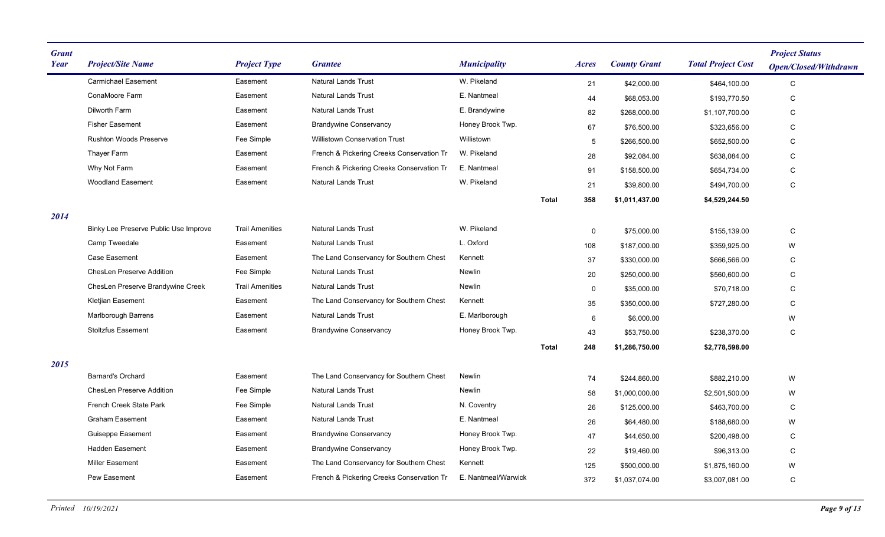| <b>Grant</b><br><b>Year</b> | <b>Project/Site Name</b>              | <b>Project Type</b>    | <b>Grantee</b>                            | <b>Municipality</b> |              | <i>Acres</i> | <b>County Grant</b> | <b>Total Project Cost</b> | <b>Project Status</b><br><b>Open/Closed/Withdrawn</b> |
|-----------------------------|---------------------------------------|------------------------|-------------------------------------------|---------------------|--------------|--------------|---------------------|---------------------------|-------------------------------------------------------|
|                             | <b>Carmichael Easement</b>            | Easement               | <b>Natural Lands Trust</b>                | W. Pikeland         |              | 21           | \$42,000.00         | \$464,100.00              | $\mathsf{C}$                                          |
|                             | ConaMoore Farm                        | Easement               | <b>Natural Lands Trust</b>                | E. Nantmeal         |              | 44           | \$68,053.00         | \$193,770.50              | $\mathsf C$                                           |
|                             | Dilworth Farm                         | Easement               | <b>Natural Lands Trust</b>                | E. Brandywine       |              | 82           | \$268,000.00        | \$1,107,700.00            | ${\rm C}$                                             |
|                             | <b>Fisher Easement</b>                | Easement               | <b>Brandywine Conservancy</b>             | Honey Brook Twp.    |              | 67           | \$76,500.00         | \$323,656.00              | C                                                     |
|                             | <b>Rushton Woods Preserve</b>         | Fee Simple             | <b>Willistown Conservation Trust</b>      | Willistown          |              | 5            | \$266,500.00        | \$652,500.00              | $\mathsf{C}$                                          |
|                             | Thayer Farm                           | Easement               | French & Pickering Creeks Conservation Tr | W. Pikeland         |              | 28           | \$92,084.00         | \$638,084.00              | ${\rm C}$                                             |
|                             | Why Not Farm                          | Easement               | French & Pickering Creeks Conservation Tr | E. Nantmeal         |              | 91           | \$158,500.00        | \$654,734.00              | C                                                     |
|                             | <b>Woodland Easement</b>              | Easement               | <b>Natural Lands Trust</b>                | W. Pikeland         |              | 21           | \$39,800.00         | \$494,700.00              | $\mathsf{C}$                                          |
|                             |                                       |                        |                                           |                     | <b>Total</b> | 358          | \$1,011,437.00      | \$4,529,244.50            |                                                       |
| 2014                        |                                       |                        |                                           |                     |              |              |                     |                           |                                                       |
|                             | Binky Lee Preserve Public Use Improve | <b>Trail Amenities</b> | <b>Natural Lands Trust</b>                | W. Pikeland         |              | $\mathbf 0$  | \$75,000.00         | \$155,139.00              | ${\rm C}$                                             |
|                             | Camp Tweedale                         | Easement               | <b>Natural Lands Trust</b>                | L. Oxford           |              | 108          | \$187,000.00        | \$359,925.00              | W                                                     |
|                             | <b>Case Easement</b>                  | Easement               | The Land Conservancy for Southern Chest   | Kennett             |              | 37           | \$330,000.00        | \$666,566.00              | C                                                     |
|                             | ChesLen Preserve Addition             | Fee Simple             | <b>Natural Lands Trust</b>                | Newlin              |              | 20           | \$250,000.00        | \$560,600.00              | $\mathsf{C}$                                          |
|                             | ChesLen Preserve Brandywine Creek     | <b>Trail Amenities</b> | Natural Lands Trust                       | Newlin              |              | $\mathbf 0$  | \$35,000.00         | \$70.718.00               | $\mathsf{C}$                                          |
|                             | Kletjian Easement                     | Easement               | The Land Conservancy for Southern Chest   | Kennett             |              | 35           | \$350,000.00        | \$727,280.00              | $\mathsf C$                                           |
|                             | Marlborough Barrens                   | Easement               | <b>Natural Lands Trust</b>                | E. Marlborough      |              | 6            | \$6,000.00          |                           | W                                                     |
|                             | <b>Stoltzfus Easement</b>             | Easement               | <b>Brandywine Conservancy</b>             | Honey Brook Twp.    |              | 43           | \$53,750.00         | \$238,370.00              | C                                                     |
|                             |                                       |                        |                                           |                     | <b>Total</b> | 248          | \$1,286,750.00      | \$2,778,598.00            |                                                       |
| 2015                        |                                       |                        |                                           |                     |              |              |                     |                           |                                                       |
|                             | <b>Barnard's Orchard</b>              | Easement               | The Land Conservancy for Southern Chest   | Newlin              |              | 74           | \$244,860.00        | \$882.210.00              | W                                                     |
|                             | <b>ChesLen Preserve Addition</b>      | Fee Simple             | <b>Natural Lands Trust</b>                | Newlin              |              | 58           | \$1,000,000.00      | \$2,501,500.00            | W                                                     |
|                             | French Creek State Park               | Fee Simple             | <b>Natural Lands Trust</b>                | N. Coventry         |              | 26           | \$125,000.00        | \$463,700.00              | C                                                     |
|                             | <b>Graham Easement</b>                | Easement               | <b>Natural Lands Trust</b>                | E. Nantmeal         |              | 26           | \$64,480.00         | \$188,680.00              | W                                                     |
|                             | Guiseppe Easement                     | Easement               | <b>Brandywine Conservancy</b>             | Honey Brook Twp.    |              | 47           | \$44,650.00         | \$200,498.00              | C                                                     |
|                             | <b>Hadden Easement</b>                | Easement               | <b>Brandywine Conservancy</b>             | Honey Brook Twp.    |              | 22           | \$19,460.00         | \$96,313.00               | C                                                     |
|                             | <b>Miller Easement</b>                | Easement               | The Land Conservancy for Southern Chest   | Kennett             |              | 125          | \$500,000.00        | \$1,875,160.00            | W                                                     |
|                             | <b>Pew Easement</b>                   | Easement               | French & Pickering Creeks Conservation Tr | E. Nantmeal/Warwick |              | 372          | \$1,037,074.00      | \$3,007,081.00            | $\mathsf{C}$                                          |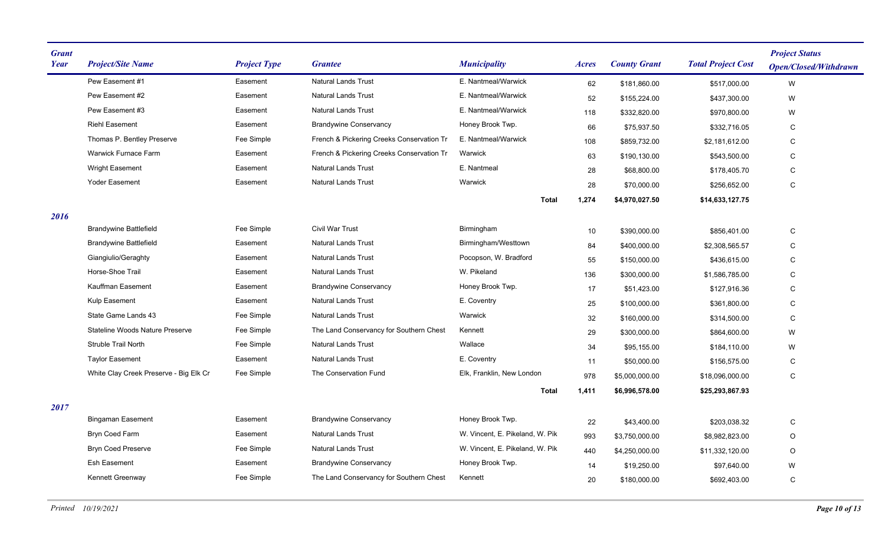| <b>Grant</b><br>Year | <b>Project/Site Name</b>               | <b>Project Type</b> | <b>Grantee</b>                            | <b>Municipality</b>              | <b>Acres</b> | <b>County Grant</b> | <b>Total Project Cost</b> | <b>Project Status</b><br><b>Open/Closed/Withdrawn</b> |
|----------------------|----------------------------------------|---------------------|-------------------------------------------|----------------------------------|--------------|---------------------|---------------------------|-------------------------------------------------------|
|                      | Pew Easement #1                        | Easement            | <b>Natural Lands Trust</b>                | E. Nantmeal/Warwick              | 62           | \$181,860.00        | \$517,000.00              | W                                                     |
|                      | Pew Easement #2                        | Easement            | <b>Natural Lands Trust</b>                | E. Nantmeal/Warwick              | 52           | \$155,224.00        | \$437,300.00              | W                                                     |
|                      | Pew Easement #3                        | Easement            | <b>Natural Lands Trust</b>                | E. Nantmeal/Warwick              | 118          | \$332,820.00        | \$970,800.00              | W                                                     |
|                      | <b>Riehl Easement</b>                  | Easement            | <b>Brandywine Conservancy</b>             | Honey Brook Twp.                 | 66           | \$75,937.50         | \$332,716.05              | C                                                     |
|                      | Thomas P. Bentley Preserve             | Fee Simple          | French & Pickering Creeks Conservation Tr | E. Nantmeal/Warwick              | 108          | \$859,732.00        | \$2,181,612.00            | $\mathbf C$                                           |
|                      | Warwick Furnace Farm                   | Easement            | French & Pickering Creeks Conservation Tr | Warwick                          | 63           | \$190,130.00        | \$543,500.00              | C                                                     |
|                      | <b>Wright Easement</b>                 | Easement            | <b>Natural Lands Trust</b>                | E. Nantmeal                      | 28           | \$68,800.00         | \$178,405.70              | C                                                     |
|                      | <b>Yoder Easement</b>                  | Easement            | <b>Natural Lands Trust</b>                | Warwick                          | 28           | \$70,000.00         | \$256,652.00              | $\mathbf C$                                           |
|                      |                                        |                     |                                           | <b>Total</b>                     | 1,274        | \$4.970.027.50      | \$14,633,127.75           |                                                       |
| 2016                 |                                        |                     |                                           |                                  |              |                     |                           |                                                       |
|                      | <b>Brandywine Battlefield</b>          | Fee Simple          | Civil War Trust                           | Birmingham                       | 10           | \$390,000.00        | \$856,401.00              | С                                                     |
|                      | <b>Brandywine Battlefield</b>          | Easement            | <b>Natural Lands Trust</b>                | Birmingham/Westtown              | 84           | \$400,000.00        | \$2,308,565.57            | C                                                     |
|                      | Giangiulio/Geraghty                    | Easement            | <b>Natural Lands Trust</b>                | Pocopson, W. Bradford            | 55           | \$150,000.00        | \$436,615.00              | С                                                     |
|                      | Horse-Shoe Trail                       | Easement            | <b>Natural Lands Trust</b>                | W. Pikeland                      | 136          | \$300,000.00        | \$1,586,785.00            | С                                                     |
|                      | Kauffman Easement                      | Easement            | <b>Brandywine Conservancy</b>             | Honey Brook Twp.                 | 17           | \$51,423.00         | \$127,916.36              | C                                                     |
|                      | Kulp Easement                          | Easement            | <b>Natural Lands Trust</b>                | E. Coventry                      | 25           | \$100,000.00        | \$361,800.00              | $\mathbf C$                                           |
|                      | State Game Lands 43                    | Fee Simple          | <b>Natural Lands Trust</b>                | Warwick                          | 32           | \$160,000.00        | \$314,500.00              | C                                                     |
|                      | <b>Stateline Woods Nature Preserve</b> | Fee Simple          | The Land Conservancy for Southern Chest   | Kennett                          | 29           | \$300,000.00        | \$864,600.00              | W                                                     |
|                      | Struble Trail North                    | Fee Simple          | <b>Natural Lands Trust</b>                | Wallace                          | 34           | \$95,155.00         | \$184,110.00              | W                                                     |
|                      | <b>Taylor Easement</b>                 | Easement            | <b>Natural Lands Trust</b>                | E. Coventry                      | 11           | \$50,000.00         | \$156,575.00              | C                                                     |
|                      | White Clay Creek Preserve - Big Elk Cr | Fee Simple          | The Conservation Fund                     | Elk, Franklin, New London        | 978          | \$5,000,000.00      | \$18,096,000.00           | С                                                     |
|                      |                                        |                     |                                           | <b>Total</b>                     | 1,411        | \$6,996,578.00      | \$25,293,867.93           |                                                       |
| 2017                 |                                        |                     |                                           |                                  |              |                     |                           |                                                       |
|                      | <b>Bingaman Easement</b>               | Easement            | <b>Brandywine Conservancy</b>             | Honey Brook Twp.                 | 22           | \$43,400.00         | \$203,038.32              | ${\bf C}$                                             |
|                      | Bryn Coed Farm                         | Easement            | <b>Natural Lands Trust</b>                | W. Vincent, E. Pikeland, W. Pik. | 993          | \$3,750,000.00      | \$8,982,823.00            | $\circ$                                               |
|                      | <b>Bryn Coed Preserve</b>              | Fee Simple          | <b>Natural Lands Trust</b>                | W. Vincent, E. Pikeland, W. Pik  | 440          | \$4,250,000.00      | \$11,332,120.00           | $\circ$                                               |
|                      | Esh Easement                           | Easement            | <b>Brandywine Conservancy</b>             | Honey Brook Twp.                 | 14           | \$19,250.00         | \$97,640.00               | W                                                     |
|                      | Kennett Greenway                       | Fee Simple          | The Land Conservancy for Southern Chest   | Kennett                          | 20           | \$180,000.00        | \$692,403.00              | C                                                     |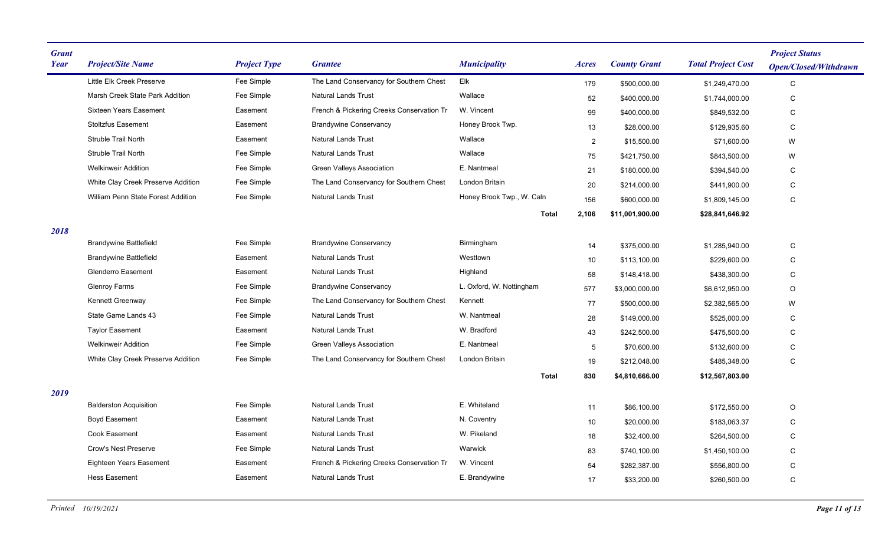| <b>Grant</b><br>Year | <b>Project/Site Name</b>           | <b>Project Type</b> | <b>Grantee</b>                            | <b>Municipality</b>       | Acres          | <b>County Grant</b> | <b>Total Project Cost</b> | <b>Project Status</b><br><b>Open/Closed/Withdrawn</b> |
|----------------------|------------------------------------|---------------------|-------------------------------------------|---------------------------|----------------|---------------------|---------------------------|-------------------------------------------------------|
|                      | Little Elk Creek Preserve          | Fee Simple          | The Land Conservancy for Southern Chest   | Elk                       | 179            | \$500,000.00        | \$1,249,470.00            | C                                                     |
|                      | Marsh Creek State Park Addition    | Fee Simple          | <b>Natural Lands Trust</b>                | Wallace                   | 52             | \$400,000.00        | \$1,744,000.00            | $\mathbf C$                                           |
|                      | <b>Sixteen Years Easement</b>      | Easement            | French & Pickering Creeks Conservation Tr | W. Vincent                | 99             | \$400,000.00        | \$849,532.00              | C                                                     |
|                      | <b>Stoltzfus Easement</b>          | Easement            | <b>Brandywine Conservancy</b>             | Honey Brook Twp.          | 13             | \$28,000.00         | \$129.935.60              | C                                                     |
|                      | <b>Struble Trail North</b>         | Easement            | <b>Natural Lands Trust</b>                | Wallace                   | $\overline{2}$ | \$15,500.00         | \$71,600.00               | W                                                     |
|                      | Struble Trail North                | Fee Simple          | <b>Natural Lands Trust</b>                | Wallace                   | 75             | \$421,750.00        | \$843,500.00              | W                                                     |
|                      | <b>Welkinweir Addition</b>         | Fee Simple          | Green Valleys Association                 | E. Nantmeal               | 21             | \$180,000.00        | \$394,540.00              | C                                                     |
|                      | White Clay Creek Preserve Addition | Fee Simple          | The Land Conservancy for Southern Chest   | London Britain            | 20             | \$214,000.00        | \$441,900.00              | C                                                     |
|                      | William Penn State Forest Addition | Fee Simple          | <b>Natural Lands Trust</b>                | Honey Brook Twp., W. Caln | 156            | \$600,000.00        | \$1,809,145.00            | C                                                     |
|                      |                                    |                     |                                           | <b>Total</b>              | 2,106          | \$11,001,900.00     | \$28,841,646.92           |                                                       |
| 2018                 |                                    |                     |                                           |                           |                |                     |                           |                                                       |
|                      | <b>Brandywine Battlefield</b>      | Fee Simple          | <b>Brandywine Conservancy</b>             | Birmingham                | 14             | \$375,000.00        | \$1,285,940.00            | C                                                     |
|                      | <b>Brandywine Battlefield</b>      | Easement            | <b>Natural Lands Trust</b>                | Westtown                  | 10             | \$113,100.00        | \$229,600.00              | С                                                     |
|                      | <b>Glenderro Easement</b>          | Easement            | <b>Natural Lands Trust</b>                | Highland                  | 58             | \$148,418.00        | \$438,300.00              | С                                                     |
|                      | <b>Glenroy Farms</b>               | Fee Simple          | <b>Brandywine Conservancy</b>             | L. Oxford, W. Nottingham  | 577            | \$3,000,000.00      | \$6,612,950.00            | O                                                     |
|                      | Kennett Greenway                   | Fee Simple          | The Land Conservancy for Southern Chest   | Kennett                   | 77             | \$500,000.00        | \$2,382,565.00            | W                                                     |
|                      | State Game Lands 43                | Fee Simple          | <b>Natural Lands Trust</b>                | W. Nantmeal               | 28             | \$149,000.00        | \$525,000.00              | C                                                     |
|                      | <b>Taylor Easement</b>             | Easement            | <b>Natural Lands Trust</b>                | W. Bradford               | 43             | \$242,500.00        | \$475,500.00              | С                                                     |
|                      | <b>Welkinweir Addition</b>         | Fee Simple          | Green Valleys Association                 | E. Nantmeal               | 5              | \$70,600.00         | \$132,600.00              | С                                                     |
|                      | White Clay Creek Preserve Addition | Fee Simple          | The Land Conservancy for Southern Chest   | London Britain            | 19             | \$212,048.00        | \$485,348.00              | C                                                     |
|                      |                                    |                     |                                           | <b>Total</b>              | 830            | \$4,810,666.00      | \$12,567,803.00           |                                                       |
| 2019                 |                                    |                     |                                           |                           |                |                     |                           |                                                       |
|                      | <b>Balderston Acquisition</b>      | Fee Simple          | <b>Natural Lands Trust</b>                | E. Whiteland              | 11             | \$86,100.00         | \$172,550.00              | O                                                     |
|                      | Boyd Easement                      | Easement            | <b>Natural Lands Trust</b>                | N. Coventry               | 10             | \$20,000.00         | \$183,063.37              | C                                                     |
|                      | <b>Cook Easement</b>               | Easement            | <b>Natural Lands Trust</b>                | W. Pikeland               | 18             | \$32,400.00         | \$264,500.00              | C                                                     |
|                      | <b>Crow's Nest Preserve</b>        | Fee Simple          | <b>Natural Lands Trust</b>                | Warwick                   | 83             | \$740,100.00        | \$1,450,100.00            | C                                                     |
|                      | <b>Eighteen Years Easement</b>     | Easement            | French & Pickering Creeks Conservation Tr | W. Vincent                | 54             | \$282,387.00        | \$556,800.00              | $\mathsf C$                                           |
|                      | <b>Hess Easement</b>               | Easement            | <b>Natural Lands Trust</b>                | E. Brandywine             | 17             | \$33,200.00         | \$260,500.00              | C                                                     |
|                      |                                    |                     |                                           |                           |                |                     |                           |                                                       |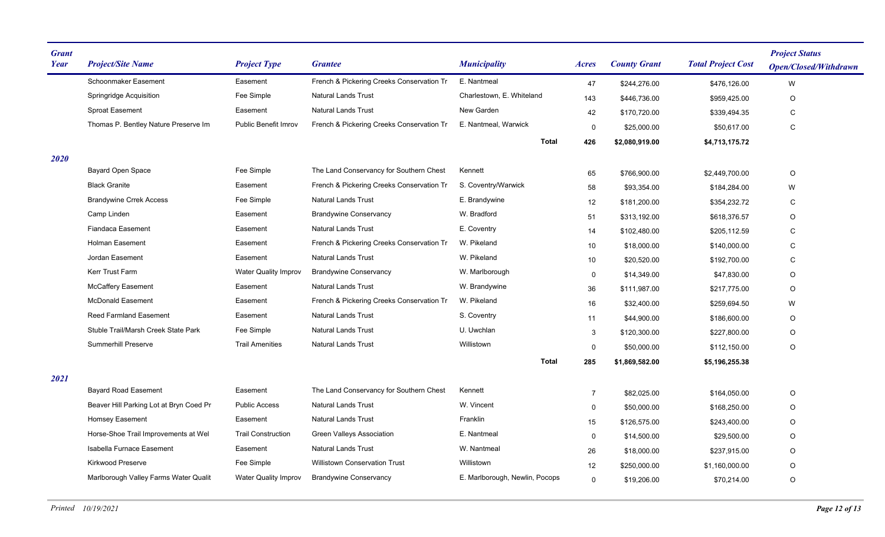| <b>Grant</b><br>Year | <b>Project/Site Name</b>                | <b>Project Type</b>         | <b>Grantee</b>                            | <b>Municipality</b>            | <i>Acres</i>   | <b>County Grant</b> | <b>Total Project Cost</b> | <b>Project Status</b><br><b>Open/Closed/Withdrawn</b> |
|----------------------|-----------------------------------------|-----------------------------|-------------------------------------------|--------------------------------|----------------|---------------------|---------------------------|-------------------------------------------------------|
|                      | Schoonmaker Easement                    | Easement                    | French & Pickering Creeks Conservation Tr | E. Nantmeal                    | 47             | \$244,276.00        | \$476,126.00              | W                                                     |
|                      | Springridge Acquisition                 | Fee Simple                  | <b>Natural Lands Trust</b>                | Charlestown, E. Whiteland      | 143            | \$446,736.00        | \$959,425.00              | O                                                     |
|                      | <b>Sproat Easement</b>                  | Easement                    | <b>Natural Lands Trust</b>                | New Garden                     | 42             | \$170,720.00        | \$339,494.35              | C                                                     |
|                      | Thomas P. Bentley Nature Preserve Im    | <b>Public Benefit Imrov</b> | French & Pickering Creeks Conservation Tr | E. Nantmeal, Warwick           | 0              | \$25,000.00         | \$50,617.00               | $\mathbf C$                                           |
|                      |                                         |                             |                                           | <b>Total</b>                   | 426            | \$2,080,919.00      | \$4,713,175.72            |                                                       |
| 2020                 |                                         |                             |                                           |                                |                |                     |                           |                                                       |
|                      | <b>Bayard Open Space</b>                | Fee Simple                  | The Land Conservancy for Southern Chest   | Kennett                        | 65             | \$766,900.00        | \$2,449,700.00            | O                                                     |
|                      | <b>Black Granite</b>                    | Easement                    | French & Pickering Creeks Conservation Tr | S. Coventry/Warwick            | 58             | \$93,354.00         | \$184,284.00              | W                                                     |
|                      | <b>Brandywine Crrek Access</b>          | Fee Simple                  | <b>Natural Lands Trust</b>                | E. Brandywine                  | 12             | \$181,200.00        | \$354,232.72              | C                                                     |
|                      | Camp Linden                             | Easement                    | <b>Brandywine Conservancy</b>             | W. Bradford                    | 51             | \$313.192.00        | \$618.376.57              | O                                                     |
|                      | <b>Fiandaca Easement</b>                | Easement                    | <b>Natural Lands Trust</b>                | E. Coventry                    | 14             | \$102,480.00        | \$205,112.59              | $\mathsf C$                                           |
|                      | <b>Holman Easement</b>                  | Easement                    | French & Pickering Creeks Conservation Tr | W. Pikeland                    | 10             | \$18,000.00         | \$140,000.00              | C                                                     |
|                      | Jordan Easement                         | Easement                    | <b>Natural Lands Trust</b>                | W. Pikeland                    | 10             | \$20,520.00         | \$192,700.00              | C                                                     |
|                      | Kerr Trust Farm                         | <b>Water Quality Improv</b> | <b>Brandywine Conservancy</b>             | W. Marlborough                 | 0              | \$14,349.00         | \$47,830.00               | O                                                     |
|                      | McCaffery Easement                      | Easement                    | <b>Natural Lands Trust</b>                | W. Brandywine                  | 36             | \$111,987.00        | \$217,775.00              | O                                                     |
|                      | <b>McDonald Easement</b>                | Easement                    | French & Pickering Creeks Conservation Tr | W. Pikeland                    | 16             | \$32,400.00         | \$259,694.50              | W                                                     |
|                      | Reed Farmland Easement                  | Easement                    | <b>Natural Lands Trust</b>                | S. Coventry                    | 11             | \$44,900.00         | \$186,600.00              | O                                                     |
|                      | Stuble Trail/Marsh Creek State Park     | Fee Simple                  | <b>Natural Lands Trust</b>                | U. Uwchlan                     | 3              | \$120,300.00        | \$227,800.00              | O                                                     |
|                      | <b>Summerhill Preserve</b>              | <b>Trail Amenities</b>      | Natural Lands Trust                       | Willistown                     | $\mathbf 0$    | \$50,000.00         | \$112,150.00              | O                                                     |
|                      |                                         |                             |                                           | <b>Total</b>                   | 285            | \$1,869,582.00      | \$5,196,255.38            |                                                       |
| 2021                 |                                         |                             |                                           |                                |                |                     |                           |                                                       |
|                      | <b>Bayard Road Easement</b>             | Easement                    | The Land Conservancy for Southern Chest   | Kennett                        | $\overline{7}$ | \$82,025.00         | \$164,050.00              | $\hbox{O}$                                            |
|                      | Beaver Hill Parking Lot at Bryn Coed Pr | <b>Public Access</b>        | <b>Natural Lands Trust</b>                | W. Vincent                     | 0              | \$50,000.00         | \$168,250.00              | O                                                     |
|                      | Homsey Easement                         | Easement                    | <b>Natural Lands Trust</b>                | Franklin                       | 15             | \$126,575.00        | \$243,400.00              | O                                                     |
|                      | Horse-Shoe Trail Improvements at Wel    | <b>Trail Construction</b>   | <b>Green Valleys Association</b>          | E. Nantmeal                    | 0              | \$14,500.00         | \$29,500.00               | O                                                     |
|                      | Isabella Furnace Easement               | Easement                    | <b>Natural Lands Trust</b>                | W. Nantmeal                    | 26             | \$18,000.00         | \$237,915.00              | O                                                     |
|                      | Kirkwood Preserve                       | Fee Simple                  | <b>Willistown Conservation Trust</b>      | Willistown                     | 12             | \$250,000.00        | \$1,160,000.00            | O                                                     |
|                      | Marlborough Valley Farms Water Qualit   | <b>Water Quality Improv</b> | <b>Brandywine Conservancy</b>             | E. Marlborough, Newlin, Pocops | $\mathbf 0$    | \$19,206.00         | \$70,214.00               | O                                                     |